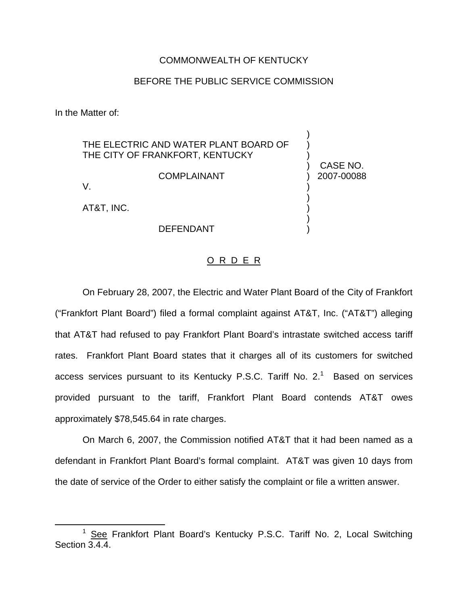## COMMONWEALTH OF KENTUCKY

## BEFORE THE PUBLIC SERVICE COMMISSION

) ) )

) ) ) ) )

) CASE NO. ) 2007-00088

In the Matter of:

THE ELECTRIC AND WATER PLANT BOARD OF THE CITY OF FRANKFORT, KENTUCKY

COMPLAINANT

V.

AT&T, INC.

DEFENDANT

## O R D E R

On February 28, 2007, the Electric and Water Plant Board of the City of Frankfort ("Frankfort Plant Board") filed a formal complaint against AT&T, Inc. ("AT&T") alleging that AT&T had refused to pay Frankfort Plant Board's intrastate switched access tariff rates. Frankfort Plant Board states that it charges all of its customers for switched access services pursuant to its Kentucky P.S.C. Tariff No.  $2<sup>1</sup>$  Based on services provided pursuant to the tariff, Frankfort Plant Board contends AT&T owes approximately \$78,545.64 in rate charges.

On March 6, 2007, the Commission notified AT&T that it had been named as a defendant in Frankfort Plant Board's formal complaint. AT&T was given 10 days from the date of service of the Order to either satisfy the complaint or file a written answer.

<sup>&</sup>lt;sup>1</sup> See Frankfort Plant Board's Kentucky P.S.C. Tariff No. 2, Local Switching Section 3.4.4.